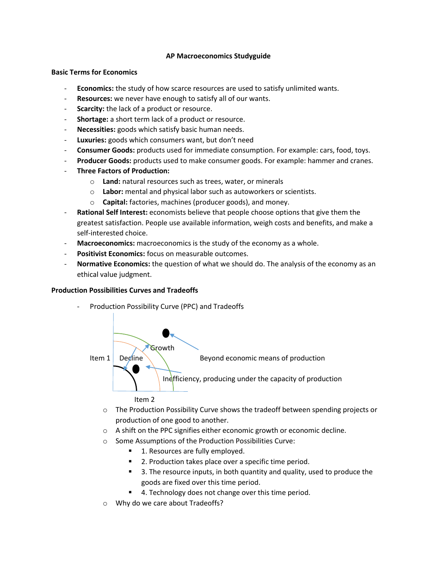### **AP Macroeconomics Studyguide**

# **Basic Terms for Economics**

- **Economics:** the study of how scarce resources are used to satisfy unlimited wants.
- **Resources:** we never have enough to satisfy all of our wants.
- **Scarcity:** the lack of a product or resource.
- **Shortage:** a short term lack of a product or resource.
- Necessities: goods which satisfy basic human needs.
- **Luxuries:** goods which consumers want, but don't need
- **Consumer Goods:** products used for immediate consumption. For example: cars, food, toys.
- Producer Goods: products used to make consumer goods. For example: hammer and cranes.
- **Three Factors of Production:**
	- o **Land:** natural resources such as trees, water, or minerals
	- o **Labor:** mental and physical labor such as autoworkers or scientists.
	- o **Capital:** factories, machines (producer goods), and money.
- **Rational Self Interest:** economists believe that people choose options that give them the greatest satisfaction. People use available information, weigh costs and benefits, and make a self-interested choice.
- Macroeconomics: macroeconomics is the study of the economy as a whole.
- **Positivist Economics:** focus on measurable outcomes.
- **Normative Economics:** the question of what we should do. The analysis of the economy as an ethical value judgment.

### **Production Possibilities Curves and Tradeoffs**

Production Possibility Curve (PPC) and Tradeoffs



- $\circ$  The Production Possibility Curve shows the tradeoff between spending projects or production of one good to another.
- o A shift on the PPC signifies either economic growth or economic decline.
- o Some Assumptions of the Production Possibilities Curve:
	- 1. Resources are fully employed.
	- 2. Production takes place over a specific time period.
	- 3. The resource inputs, in both quantity and quality, used to produce the goods are fixed over this time period.
	- 4. Technology does not change over this time period.
- o Why do we care about Tradeoffs?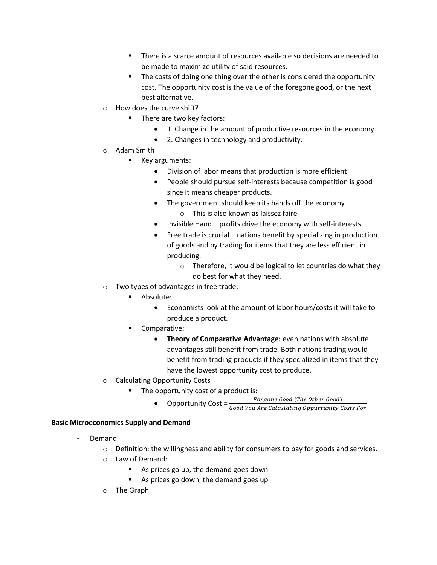- There is a scarce amount of resources available so decisions are needed to be made to maximize utility of said resources.
- The costs of doing one thing over the other is considered the opportunity cost. The opportunity cost is the value of the foregone good, or the next best alternative.
- o How does the curve shift?
	- **There are two key factors:** 
		- 1. Change in the amount of productive resources in the economy.
		- 2. Changes in technology and productivity.
- o Adam Smith
	- **Key arguments:** 
		- Division of labor means that production is more efficient
		- People should pursue self-interests because competition is good since it means cheaper products.
		- The government should keep its hands off the economy o This is also known as laissez faire
		- Invisible Hand profits drive the economy with self-interests.
		- $\bullet$  Free trade is crucial nations benefit by specializing in production of goods and by trading for items that they are less efficient in producing.
			- o Therefore, it would be logical to let countries do what they do best for what they need.
- o Two types of advantages in free trade:
	- **Absolute:** 
		- Economists look at the amount of labor hours/costs it will take to produce a product.
	- Comparative:
		- **Theory of Comparative Advantage:** even nations with absolute advantages still benefit from trade. Both nations trading would benefit from trading products if they specialized in items that they have the lowest opportunity cost to produce.
- o Calculating Opportunity Costs
	- The opportunity cost of a product is:
		- Opportunity Cost =  $\frac{For gone\ Good\ (The\ Other\ Good)}{Good\ You\ Are\ Calculating\ Opputtunity\ Costs\ For}$ 
			-

# **Basic Microeconomics Supply and Demand**

- Demand
	- $\circ$  Definition: the willingness and ability for consumers to pay for goods and services.
	- o Law of Demand:
		- As prices go up, the demand goes down
		- As prices go down, the demand goes up
	- o The Graph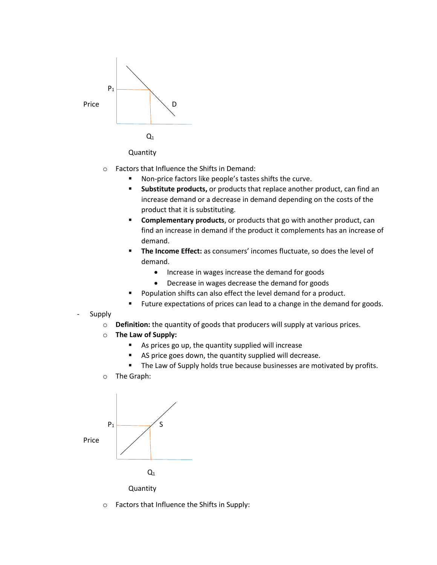



- o Factors that Influence the Shifts in Demand:
	- **Non-price factors like people's tastes shifts the curve.**
	- **Substitute products,** or products that replace another product, can find an increase demand or a decrease in demand depending on the costs of the product that it is substituting.
	- **Complementary products**, or products that go with another product, can find an increase in demand if the product it complements has an increase of demand.
	- **The Income Effect:** as consumers' incomes fluctuate, so does the level of demand.
		- Increase in wages increase the demand for goods
		- Decrease in wages decrease the demand for goods
	- Population shifts can also effect the level demand for a product.
	- Future expectations of prices can lead to a change in the demand for goods.
- **Supply** 
	- o **Definition:** the quantity of goods that producers will supply at various prices.
	- o **The Law of Supply:**
		- As prices go up, the quantity supplied will increase
		- AS price goes down, the quantity supplied will decrease.
		- The Law of Supply holds true because businesses are motivated by profits.
	- o The Graph:



o Factors that Influence the Shifts in Supply: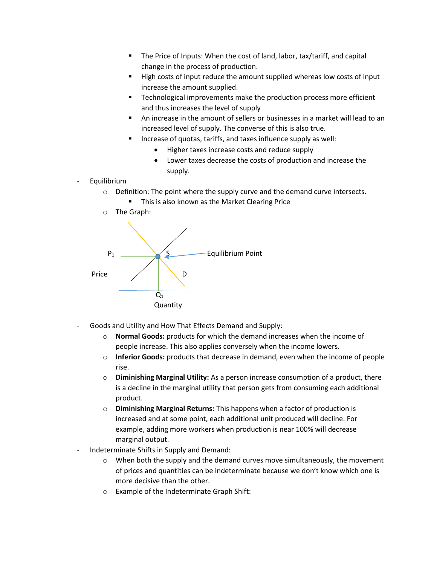- The Price of Inputs: When the cost of land, labor, tax/tariff, and capital change in the process of production.
- High costs of input reduce the amount supplied whereas low costs of input increase the amount supplied.
- **Technological improvements make the production process more efficient** and thus increases the level of supply
- An increase in the amount of sellers or businesses in a market will lead to an increased level of supply. The converse of this is also true.
- Increase of quotas, tariffs, and taxes influence supply as well:
	- Higher taxes increase costs and reduce supply
	- Lower taxes decrease the costs of production and increase the supply.
- **Equilibrium** 
	- o Definition: The point where the supply curve and the demand curve intersects.
		- **This is also known as the Market Clearing Price**
	- o The Graph:



- Goods and Utility and How That Effects Demand and Supply:
	- o **Normal Goods:** products for which the demand increases when the income of people increase. This also applies conversely when the income lowers.
	- o **Inferior Goods:** products that decrease in demand, even when the income of people rise.
	- o **Diminishing Marginal Utility:** As a person increase consumption of a product, there is a decline in the marginal utility that person gets from consuming each additional product.
	- o **Diminishing Marginal Returns:** This happens when a factor of production is increased and at some point, each additional unit produced will decline. For example, adding more workers when production is near 100% will decrease marginal output.
- Indeterminate Shifts in Supply and Demand:
	- $\circ$  When both the supply and the demand curves move simultaneously, the movement of prices and quantities can be indeterminate because we don't know which one is more decisive than the other.
	- o Example of the Indeterminate Graph Shift: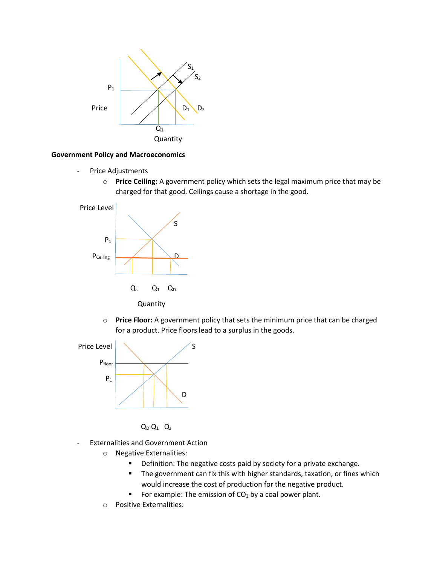

#### **Government Policy and Macroeconomics**

- Price Adjustments
	- o **Price Ceiling:** A government policy which sets the legal maximum price that may be charged for that good. Ceilings cause a shortage in the good.



**Quantity** 

o **Price Floor:** A government policy that sets the minimum price that can be charged for a product. Price floors lead to a surplus in the goods.





- Externalities and Government Action
	- o Negative Externalities:
		- **•** Definition: The negative costs paid by society for a private exchange.
		- **The government can fix this with higher standards, taxation, or fines which** would increase the cost of production for the negative product.
		- For example: The emission of  $CO<sub>2</sub>$  by a coal power plant.
	- o Positive Externalities: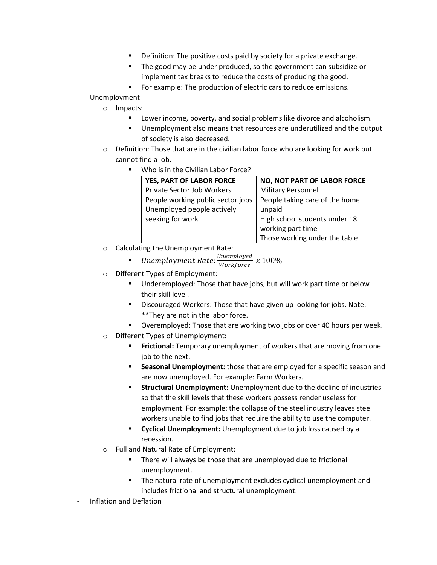- Definition: The positive costs paid by society for a private exchange.
- **The good may be under produced, so the government can subsidize or** implement tax breaks to reduce the costs of producing the good.
- **FICT** For example: The production of electric cars to reduce emissions.
- Unemployment
	- o Impacts:
		- Lower income, poverty, and social problems like divorce and alcoholism.
		- Unemployment also means that resources are underutilized and the output of society is also decreased.
	- o Definition: Those that are in the civilian labor force who are looking for work but cannot find a job.
		- Who is in the Civilian Labor Force?

| YES, PART OF LABOR FORCE          | <b>NO, NOT PART OF LABOR FORCE</b> |
|-----------------------------------|------------------------------------|
| <b>Private Sector Job Workers</b> | <b>Military Personnel</b>          |
| People working public sector jobs | People taking care of the home     |
| Unemployed people actively        | unpaid                             |
| seeking for work                  | High school students under 18      |
|                                   | working part time                  |
|                                   | Those working under the table      |

o Calculating the Unemployment Rate:

- $\text{} \bullet \quad$  Unemployment Rate:  $\frac{\textit{Unemployed}}{\textit{Workforce}} \; x \; 100\%$
- o Different Types of Employment:
	- Underemployed: Those that have jobs, but will work part time or below their skill level.
	- **Discouraged Workers: Those that have given up looking for jobs. Note:** \*\*They are not in the labor force.
	- **Diamage:** Overemployed: Those that are working two jobs or over 40 hours per week.
- o Different Types of Unemployment:
	- **Frictional:** Temporary unemployment of workers that are moving from one job to the next.
	- **Seasonal Unemployment:** those that are employed for a specific season and are now unemployed. For example: Farm Workers.
	- **Structural Unemployment:** Unemployment due to the decline of industries so that the skill levels that these workers possess render useless for employment. For example: the collapse of the steel industry leaves steel workers unable to find jobs that require the ability to use the computer.
	- **F** Cyclical Unemployment: Unemployment due to job loss caused by a recession.
- o Full and Natural Rate of Employment:
	- **There will always be those that are unemployed due to frictional** unemployment.
	- **The natural rate of unemployment excludes cyclical unemployment and** includes frictional and structural unemployment.
- Inflation and Deflation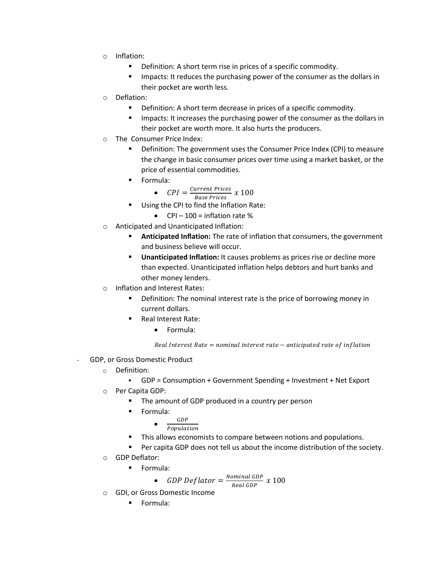- o Inflation:
	- **•** Definition: A short term rise in prices of a specific commodity.
	- **IMERT IMPACTS:** It reduces the purchasing power of the consumer as the dollars in their pocket are worth less.
- o Deflation:
	- **•** Definition: A short term decrease in prices of a specific commodity.
	- **IMPACE:** It increases the purchasing power of the consumer as the dollars in their pocket are worth more. It also hurts the producers.
- o The Consumer Price Index:
	- **•** Definition: The government uses the Consumer Price Index (CPI) to measure the change in basic consumer prices over time using a market basket, or the price of essential commodities.
	- **Formula:**

• 
$$
CPI = \frac{Current\, Prices}{Base\, Prices} \times 100
$$

- Using the CPI to find the Inflation Rate:
	- $\bullet$  CPI 100 = inflation rate %
- o Anticipated and Unanticipated Inflation:
	- **Anticipated Inflation:** The rate of inflation that consumers, the government and business believe will occur.
	- **Unanticipated Inflation:** It causes problems as prices rise or decline more than expected. Unanticipated inflation helps debtors and hurt banks and other money lenders.
- o Inflation and Interest Rates:
	- **•** Definition: The nominal interest rate is the price of borrowing money in current dollars.
	- **Real Interest Rate:** 
		- Formula:

Real Interest Rate = nominal interest rate  $-$  anticipated rate of inflation

- GDP, or Gross Domestic Product
	- o Definition:
		- GDP = Consumption + Government Spending + Investment + Net Export
	- o Per Capita GDP:
		- The amount of GDP produced in a country per person
		- **Formula:** 
			- $\bullet$  $GDP$ 
				- $Population$
		- This allows economists to compare between notions and populations.
		- Per capita GDP does not tell us about the income distribution of the society.
	- o GDP Deflator:
		- **Formula:**

• GDP Deflator  $=\frac{Normal GDP}{Total GDP}$  $\frac{m_{\text{t}}}{\text{Real GDP}}$  x  $100$ 

- o GDI, or Gross Domestic Income
	- **Formula:**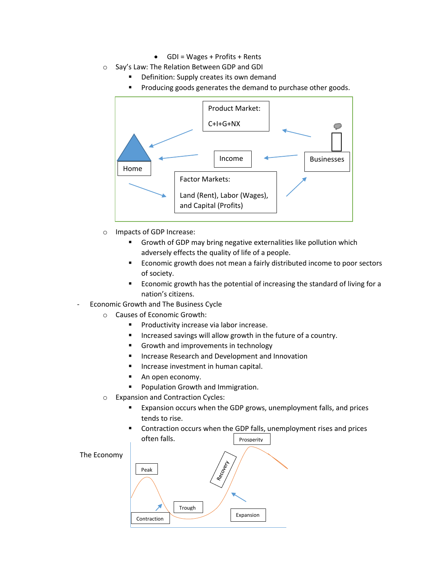- GDI = Wages + Profits + Rents
- o Say's Law: The Relation Between GDP and GDI
	- Definition: Supply creates its own demand
	- **Producing goods generates the demand to purchase other goods.**



- o Impacts of GDP Increase:
	- **Growth of GDP may bring negative externalities like pollution which** adversely effects the quality of life of a people.
	- Economic growth does not mean a fairly distributed income to poor sectors of society.
	- Economic growth has the potential of increasing the standard of living for a nation's citizens.
- Economic Growth and The Business Cycle
	- o Causes of Economic Growth:
		- **Productivity increase via labor increase.**
		- Increased savings will allow growth in the future of a country.
		- Growth and improvements in technology
		- **IF Increase Research and Development and Innovation**
		- Increase investment in human capital.
		- An open economy.
		- **Population Growth and Immigration.**
	- o Expansion and Contraction Cycles:
		- Expansion occurs when the GDP grows, unemployment falls, and prices tends to rise.
		- Contraction occurs when the GDP falls, unemployment rises and prices often falls. Prosperity

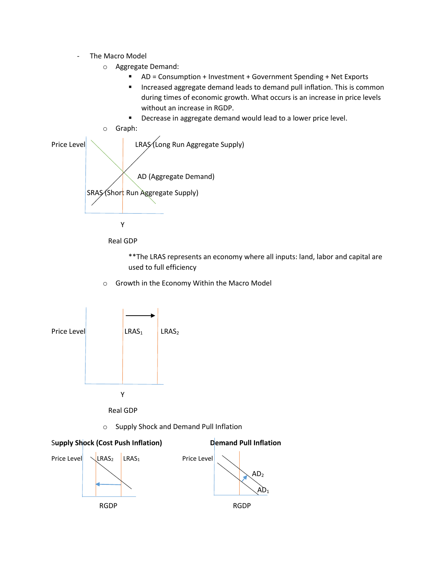- The Macro Model
	- o Aggregate Demand:
		- AD = Consumption + Investment + Government Spending + Net Exports
		- **Increased aggregate demand leads to demand pull inflation. This is common** during times of economic growth. What occurs is an increase in price levels without an increase in RGDP.
		- **Decrease in aggregate demand would lead to a lower price level.**



Real GDP

\*\*The LRAS represents an economy where all inputs: land, labor and capital are used to full efficiency

o Growth in the Economy Within the Macro Model



o Supply Shock and Demand Pull Inflation

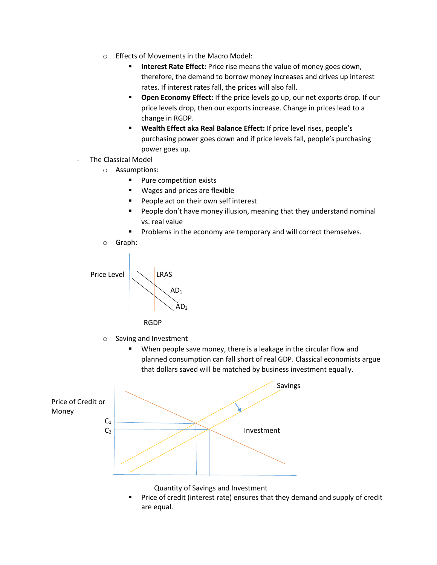- o Effects of Movements in the Macro Model:
	- **Interest Rate Effect:** Price rise means the value of money goes down, therefore, the demand to borrow money increases and drives up interest rates. If interest rates fall, the prices will also fall.
	- **Open Economy Effect:** If the price levels go up, our net exports drop. If our price levels drop, then our exports increase. Change in prices lead to a change in RGDP.
	- **Wealth Effect aka Real Balance Effect:** If price level rises, people's purchasing power goes down and if price levels fall, people's purchasing power goes up.
- The Classical Model
	- o Assumptions:
		- **Pure competition exists**
		- Wages and prices are flexible
		- People act on their own self interest
		- People don't have money illusion, meaning that they understand nominal vs. real value
		- **Problems in the economy are temporary and will correct themselves.**





- o Saving and Investment
	- When people save money, there is a leakage in the circular flow and planned consumption can fall short of real GDP. Classical economists argue that dollars saved will be matched by business investment equally.



Quantity of Savings and Investment

 Price of credit (interest rate) ensures that they demand and supply of credit are equal.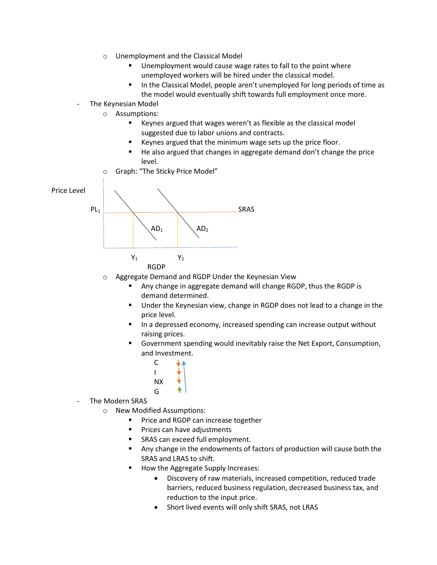- o Unemployment and the Classical Model
	- Unemployment would cause wage rates to fall to the point where unemployed workers will be hired under the classical model.
	- In the Classical Model, people aren't unemployed for long periods of time as the model would eventually shift towards full employment once more.
- The Keynesian Model
	- o Assumptions:
		- Keynes argued that wages weren't as flexible as the classical model suggested due to labor unions and contracts.
		- Keynes argued that the minimum wage sets up the price floor.
		- He also argued that changes in aggregate demand don't change the price level.
	- o Graph: "The Sticky Price Model"



- o Aggregate Demand and RGDP Under the Keynesian View
	- Any change in aggregate demand will change RGDP, thus the RGDP is demand determined.
	- Under the Keynesian view, change in RGDP does not lead to a change in the price level.
	- In a depressed economy, increased spending can increase output without raising prices.
	- Government spending would inevitably raise the Net Export, Consumption, and Investment.



- The Modern SRAS
	- o New Modified Assumptions:
		- **Price and RGDP can increase together**
		- Prices can have adjustments
		- SRAS can exceed full employment.
		- Any change in the endowments of factors of production will cause both the SRAS and LRAS to shift.
		- How the Aggregate Supply Increases:
			- Discovery of raw materials, increased competition, reduced trade barriers, reduced business regulation, decreased business tax, and reduction to the input price.
			- Short lived events will only shift SRAS, not LRAS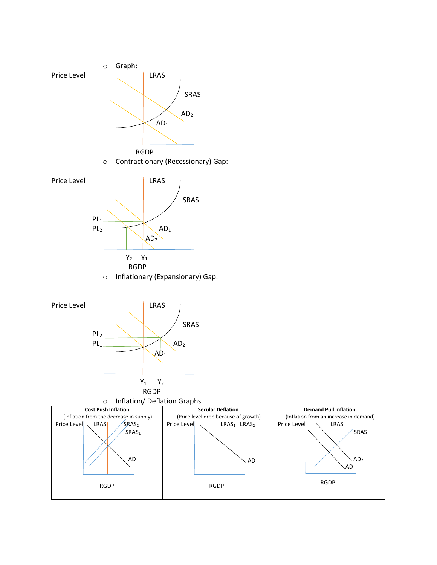

SRAS

 $AD<sub>2</sub>$  $AD<sub>1</sub>$ 

RGDP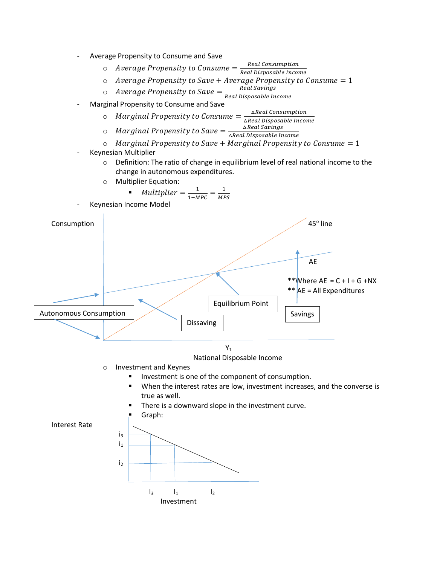

- $\circ$  Average Propensity to Consume  $=\frac{Real\ consumption}{Real\ Dimension}$ Real Disposable Income
- $\circ$  Average Propensity to Save + Average Propensity to Consume = 1
- $\circ$  Average Propensity to Save  $=\frac{Real\,Savings}{D\cdot L\cdot D\cdot S}$
- Real Disposable Income
- Marginal Propensity to Consume and Save
	- $\circ$  Marginal Propensity to Consume =  $\frac{\Delta Real \text{ Consumption}}{\Delta R}$ ∆Real Disposable Income
	- $\circ$  Marginal Propensity to Save =  $\frac{\triangle Real\,Savings}{\triangle Doch\,Doch\,Doch\,Doch\,Doch\,Dich}$ ∆Real Disposable Income
	- $\circ$  Marginal Propensity to Save + Marginal Propensity to Consume = 1
- Keynesian Multiplier
	- o Definition: The ratio of change in equilibrium level of real national income to the change in autonomous expenditures.
	- o Multiplier Equation:

$$
\bullet \quad Multiplier = \frac{1}{1 - MPC} = \frac{1}{MPS}
$$

Keynesian Income Model



- National Disposable Income
- o Investment and Keynes
	- Investment is one of the component of consumption.
	- When the interest rates are low, investment increases, and the converse is true as well.
	- There is a downward slope in the investment curve.

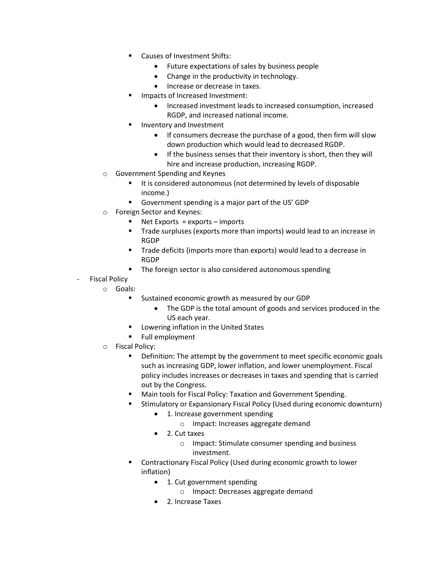- Causes of Investment Shifts:
	- Future expectations of sales by business people
	- Change in the productivity in technology.
	- Increase or decrease in taxes.
- Impacts of Increased Investment:
	- Increased investment leads to increased consumption, increased RGDP, and increased national income.
- Inventory and Investment
	- If consumers decrease the purchase of a good, then firm will slow down production which would lead to decreased RGDP.
	- If the business senses that their inventory is short, then they will hire and increase production, increasing RGDP.
- o Government Spending and Keynes
	- It is considered autonomous (not determined by levels of disposable income.)
	- Government spending is a major part of the US' GDP
- o Foreign Sector and Keynes:
	- Net Exports = exports imports
	- **Trade surpluses (exports more than imports) would lead to an increase in** RGDP
	- **Trade deficits (imports more than exports) would lead to a decrease in** RGDP
	- The foreign sector is also considered autonomous spending
- **Fiscal Policy** 
	- o Goals:
		- **Sustained economic growth as measured by our GDP** 
			- The GDP is the total amount of goods and services produced in the US each year.
		- **E** Lowering inflation in the United States
		- **Full employment**
	- o Fiscal Policy:
		- **•** Definition: The attempt by the government to meet specific economic goals such as increasing GDP, lower inflation, and lower unemployment. Fiscal policy includes increases or decreases in taxes and spending that is carried out by the Congress.
		- **Main tools for Fiscal Policy: Taxation and Government Spending.**
		- Stimulatory or Expansionary Fiscal Policy (Used during economic downturn)
			- 1. Increase government spending
				- o Impact: Increases aggregate demand
			- 2. Cut taxes
				- o Impact: Stimulate consumer spending and business investment.
		- Contractionary Fiscal Policy (Used during economic growth to lower inflation)
			- 1. Cut government spending
				- o Impact: Decreases aggregate demand
			- 2. Increase Taxes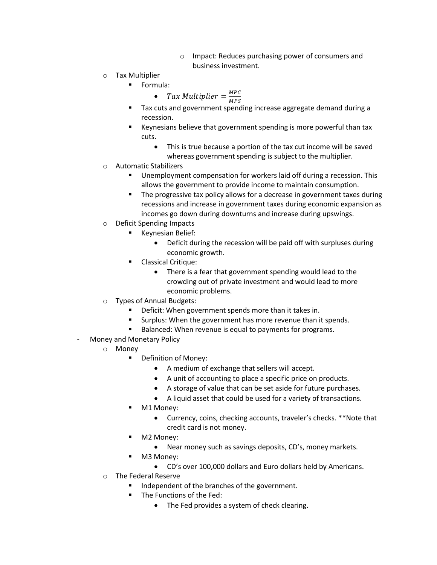- o Impact: Reduces purchasing power of consumers and business investment.
- o Tax Multiplier
	- **Formula:**

• *Tax Multiplier* = 
$$
\frac{MPC}{MPS}
$$

- **Tax cuts and government spending increase aggregate demand during a** recession.
- Keynesians believe that government spending is more powerful than tax cuts.
	- This is true because a portion of the tax cut income will be saved whereas government spending is subject to the multiplier.
- o Automatic Stabilizers
	- Unemployment compensation for workers laid off during a recession. This allows the government to provide income to maintain consumption.
	- The progressive tax policy allows for a decrease in government taxes during recessions and increase in government taxes during economic expansion as incomes go down during downturns and increase during upswings.
- o Deficit Spending Impacts
	- **Keynesian Belief:** 
		- Deficit during the recession will be paid off with surpluses during economic growth.
	- Classical Critique:
		- There is a fear that government spending would lead to the crowding out of private investment and would lead to more economic problems.
- o Types of Annual Budgets:
	- **•** Deficit: When government spends more than it takes in.
	- Surplus: When the government has more revenue than it spends.
	- Balanced: When revenue is equal to payments for programs.
- Money and Monetary Policy
	- o Money
		- Definition of Money:
			- A medium of exchange that sellers will accept.
			- A unit of accounting to place a specific price on products.
			- A storage of value that can be set aside for future purchases.
			- A liquid asset that could be used for a variety of transactions.
		- M1 Money:
			- Currency, coins, checking accounts, traveler's checks. \*\*Note that credit card is not money.
		- M2 Money:
			- Near money such as savings deposits, CD's, money markets.
			- M3 Money:
				- CD's over 100,000 dollars and Euro dollars held by Americans.
	- o The Federal Reserve
		- Independent of the branches of the government.
		- **The Functions of the Fed:** 
			- The Fed provides a system of check clearing.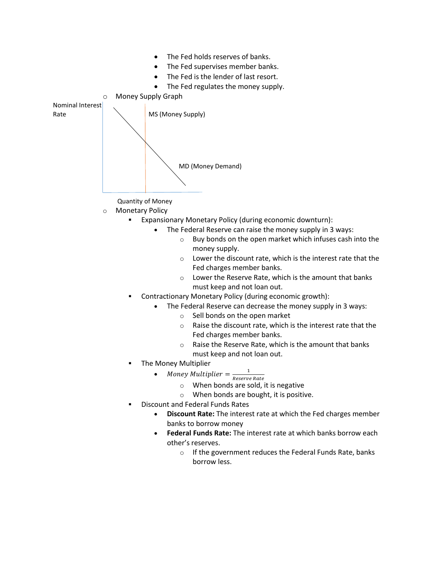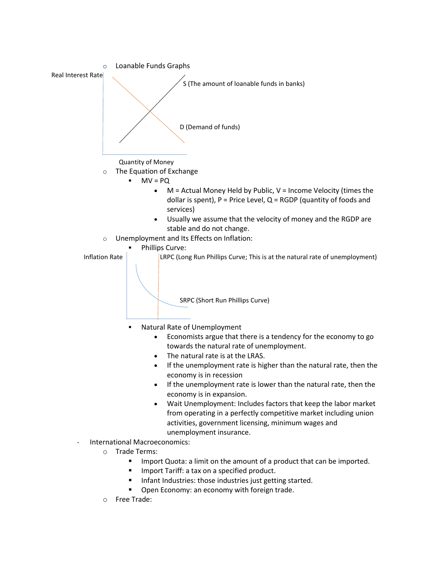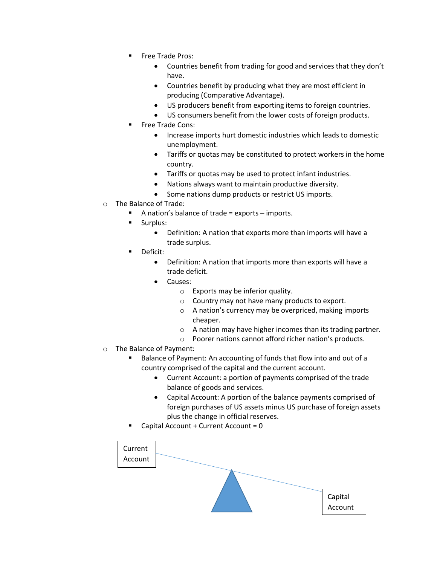- Free Trade Pros:
	- Countries benefit from trading for good and services that they don't have.
	- Countries benefit by producing what they are most efficient in producing (Comparative Advantage).
	- US producers benefit from exporting items to foreign countries.
	- US consumers benefit from the lower costs of foreign products.
- Free Trade Cons:
	- Increase imports hurt domestic industries which leads to domestic unemployment.
	- Tariffs or quotas may be constituted to protect workers in the home country.
	- Tariffs or quotas may be used to protect infant industries.
	- Nations always want to maintain productive diversity.
	- Some nations dump products or restrict US imports.
- o The Balance of Trade:
	- A nation's balance of trade = exports imports.
	- Surplus:
		- Definition: A nation that exports more than imports will have a trade surplus.
	- Deficit:
		- Definition: A nation that imports more than exports will have a trade deficit.
		- Causes:
			- o Exports may be inferior quality.
			- o Country may not have many products to export.
			- o A nation's currency may be overpriced, making imports cheaper.
			- o A nation may have higher incomes than its trading partner.
			- o Poorer nations cannot afford richer nation's products.
- o The Balance of Payment:
	- Balance of Payment: An accounting of funds that flow into and out of a country comprised of the capital and the current account.
		- Current Account: a portion of payments comprised of the trade balance of goods and services.
		- Capital Account: A portion of the balance payments comprised of foreign purchases of US assets minus US purchase of foreign assets plus the change in official reserves.
	- Capital Account + Current Account = 0